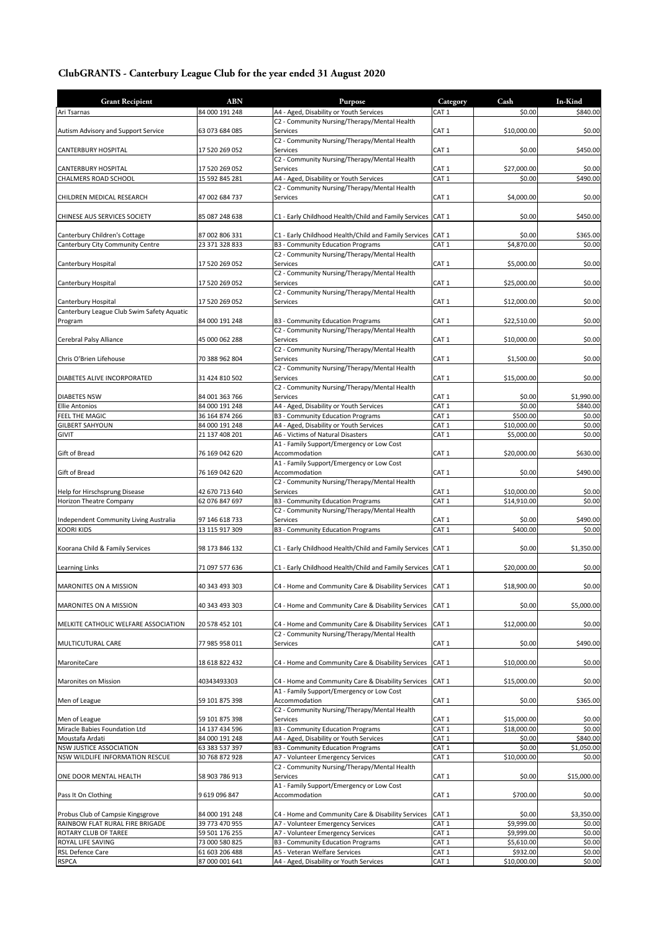## **ClubGRANTS - Canterbury League Club for the year ended 31 August 2020**

| <b>Grant Recipient</b>                                            | <b>ABN</b>                       | Purpose                                                                                           | Category                             | Cash                  | In-Kind            |
|-------------------------------------------------------------------|----------------------------------|---------------------------------------------------------------------------------------------------|--------------------------------------|-----------------------|--------------------|
| Ari Tsarnas                                                       | 84 000 191 248                   | A4 - Aged, Disability or Youth Services                                                           | CAT 1                                | \$0.00                | \$840.00           |
| Autism Advisory and Support Service                               | 63 073 684 085                   | C2 - Community Nursing/Therapy/Mental Health<br>Services                                          | CAT <sub>1</sub>                     | \$10,000.00           | \$0.00             |
| CANTERBURY HOSPITAL                                               | 17 520 269 052                   | C2 - Community Nursing/Therapy/Mental Health<br>Services                                          | CAT <sub>1</sub>                     | \$0.00                | \$450.00           |
|                                                                   |                                  | C2 - Community Nursing/Therapy/Mental Health<br>Services                                          |                                      |                       |                    |
| CANTERBURY HOSPITAL<br>CHALMERS ROAD SCHOOL                       | 17 520 269 052<br>15 592 845 281 | A4 - Aged, Disability or Youth Services                                                           | CAT 1<br>CAT <sub>1</sub>            | \$27,000.00<br>\$0.00 | \$0.00<br>\$490.00 |
|                                                                   |                                  | C2 - Community Nursing/Therapy/Mental Health                                                      |                                      |                       |                    |
| CHILDREN MEDICAL RESEARCH                                         | 47 002 684 737                   | Services                                                                                          | CAT <sub>1</sub>                     | \$4,000.00            | \$0.00             |
| CHINESE AUS SERVICES SOCIETY                                      | 85 087 248 638                   | C1 - Early Childhood Health/Child and Family Services                                             | CAT <sub>1</sub>                     | \$0.00                | \$450.00           |
|                                                                   |                                  |                                                                                                   |                                      |                       |                    |
| Canterbury Children's Cottage<br>Canterbury City Community Centre | 87 002 806 331<br>23 371 328 833 | C1 - Early Childhood Health/Child and Family Services<br><b>B3 - Community Education Programs</b> | CAT <sub>1</sub><br>CAT <sub>1</sub> | \$0.00<br>\$4,870.00  | \$365.00<br>\$0.00 |
|                                                                   |                                  | C2 - Community Nursing/Therapy/Mental Health                                                      |                                      |                       |                    |
| Canterbury Hospital                                               | 17 520 269 052                   | Services                                                                                          | CAT <sub>1</sub>                     | \$5,000.00            | \$0.00             |
| Canterbury Hospital                                               | 17 520 269 052                   | C2 - Community Nursing/Therapy/Mental Health<br>Services                                          | CAT <sub>1</sub>                     | \$25,000.00           | \$0.00             |
|                                                                   |                                  | C2 - Community Nursing/Therapy/Mental Health                                                      |                                      |                       |                    |
| Canterbury Hospital<br>Canterbury League Club Swim Safety Aquatic | 17 520 269 052                   | Services                                                                                          | CAT <sub>1</sub>                     | \$12,000.00           | \$0.00             |
| Program                                                           | 84 000 191 248                   | B3 - Community Education Programs                                                                 | CAT <sub>1</sub>                     | \$22,510.00           | \$0.00             |
|                                                                   |                                  | C2 - Community Nursing/Therapy/Mental Health                                                      |                                      |                       |                    |
| Cerebral Palsy Alliance                                           | 45 000 062 288                   | Services                                                                                          | CAT <sub>1</sub>                     | \$10,000.00           | \$0.00             |
| Chris O'Brien Lifehouse                                           | 70 388 962 804                   | C2 - Community Nursing/Therapy/Mental Health<br>Services                                          | CAT <sub>1</sub>                     | \$1,500.00            | \$0.00             |
|                                                                   |                                  | C2 - Community Nursing/Therapy/Mental Health                                                      |                                      |                       |                    |
| DIABETES ALIVE INCORPORATED                                       | 31 424 810 502                   | Services<br>C2 - Community Nursing/Therapy/Mental Health                                          | CAT 1                                | \$15,000.00           | \$0.00             |
| <b>DIABETES NSW</b>                                               | 84 001 363 766                   | Services                                                                                          | CAT <sub>1</sub>                     | \$0.00                | \$1,990.00         |
| <b>Ellie Antonios</b>                                             | 84 000 191 248                   | A4 - Aged, Disability or Youth Services                                                           | CAT <sub>1</sub>                     | \$0.00                | \$840.00           |
| FEEL THE MAGIC                                                    | 36 164 874 266                   | <b>B3 - Community Education Programs</b>                                                          | CAT <sub>1</sub>                     | \$500.00              | \$0.00             |
| <b>GILBERT SAHYOUN</b>                                            | 84 000 191 248                   | A4 - Aged, Disability or Youth Services                                                           | CAT <sub>1</sub>                     | \$10,000.00           | \$0.00             |
| <b>GIVIT</b>                                                      | 21 137 408 201                   | A6 - Victims of Natural Disasters                                                                 | CAT 1                                | \$5,000.00            | \$0.00             |
|                                                                   |                                  | A1 - Family Support/Emergency or Low Cost                                                         |                                      |                       |                    |
| Gift of Bread                                                     | 76 169 042 620                   | Accommodation<br>A1 - Family Support/Emergency or Low Cost                                        | CAT <sub>1</sub>                     | \$20,000.00           | \$630.00           |
| Gift of Bread                                                     | 76 169 042 620                   | Accommodation                                                                                     | CAT <sub>1</sub>                     | \$0.00                | \$490.00           |
|                                                                   |                                  | C2 - Community Nursing/Therapy/Mental Health                                                      |                                      |                       |                    |
| Help for Hirschsprung Disease                                     | 42 670 713 640                   | Services                                                                                          | CAT <sub>1</sub>                     | \$10,000.00           | \$0.00             |
| Horizon Theatre Company                                           | 62 076 847 697                   | B3 - Community Education Programs                                                                 | CAT <sub>1</sub>                     | \$14,910.00           | \$0.00             |
| Independent Community Living Australia                            | 97 146 618 733                   | C2 - Community Nursing/Therapy/Mental Health<br>Services                                          | CAT <sub>1</sub>                     | \$0.00                | \$490.00           |
| <b>KOORI KIDS</b>                                                 | 13 115 917 309                   | <b>B3 - Community Education Programs</b>                                                          | CAT <sub>1</sub>                     | \$400.00              | \$0.00             |
|                                                                   |                                  |                                                                                                   |                                      |                       |                    |
| Koorana Child & Family Services                                   | 98 173 846 132                   | C1 - Early Childhood Health/Child and Family Services CAT 1                                       |                                      | \$0.00                | \$1,350.00         |
| <b>Learning Links</b>                                             | 71 097 577 636                   | C1 - Early Childhood Health/Child and Family Services CAT 1                                       |                                      | \$20,000.00           | \$0.00             |
| MARONITES ON A MISSION                                            | 40 343 493 303                   | C4 - Home and Community Care & Disability Services                                                | CAT <sub>1</sub>                     | \$18,900.00           | \$0.00             |
| MARONITES ON A MISSION                                            | 40 343 493 303                   | C4 - Home and Community Care & Disability Services                                                | CAT <sub>1</sub>                     | \$0.00                | \$5,000.00         |
| MELKITE CATHOLIC WELFARE ASSOCIATION                              | 20 578 452 101                   | C4 - Home and Community Care & Disability Services                                                | CAT <sub>1</sub>                     | \$12,000.00           | \$0.00             |
|                                                                   |                                  | C2 - Community Nursing/Therapy/Mental Health                                                      |                                      |                       |                    |
| MULTICUTURAL CARE                                                 | 77 985 958 011                   | Services                                                                                          | CAT 1                                | \$0.00                | \$490.00           |
| MaroniteCare                                                      | 18 618 822 432                   | C4 - Home and Community Care & Disability Services                                                | CAT <sub>1</sub>                     | \$10,000.00           | \$0.00             |
| Maronites on Mission                                              | 40343493303                      | C4 - Home and Community Care & Disability Services                                                | CAT <sub>1</sub>                     | \$15,000.00           | \$0.00             |
|                                                                   |                                  | A1 - Family Support/Emergency or Low Cost                                                         |                                      |                       |                    |
| Men of League                                                     | 59 101 875 398                   | Accommodation<br>C2 - Community Nursing/Therapy/Mental Health                                     | CAT <sub>1</sub>                     | \$0.00                | \$365.00           |
| Men of League                                                     | 59 101 875 398                   | Services                                                                                          | CAT 1                                | \$15,000.00           | \$0.00             |
| Miracle Babies Foundation Ltd                                     | 14 137 434 596                   | <b>B3 - Community Education Programs</b>                                                          | CAT <sub>1</sub>                     | \$18,000.00           | \$0.00             |
| Moustafa Ardati                                                   | 84 000 191 248                   | A4 - Aged, Disability or Youth Services                                                           | CAT <sub>1</sub>                     | \$0.00                | \$840.00           |
| NSW JUSTICE ASSOCIATION                                           | 63 383 537 397                   | <b>B3 - Community Education Programs</b>                                                          | CAT 1                                | \$0.00                | \$1,050.00         |
| NSW WILDLIFE INFORMATION RESCUE                                   | 30 768 872 928                   | A7 - Volunteer Emergency Services                                                                 | CAT <sub>1</sub>                     | \$10,000.00           | \$0.00             |
| ONE DOOR MENTAL HEALTH                                            | 58 903 786 913                   | C2 - Community Nursing/Therapy/Mental Health<br>Services                                          | CAT 1                                | \$0.00                | \$15,000.00        |
|                                                                   |                                  | A1 - Family Support/Emergency or Low Cost                                                         |                                      |                       |                    |
| Pass It On Clothing                                               | 9619096847                       | Accommodation                                                                                     | CAT <sub>1</sub>                     | \$700.00              | \$0.00             |
| Probus Club of Campsie Kingsgrove                                 | 84 000 191 248                   | C4 - Home and Community Care & Disability Services                                                | CAT <sub>1</sub>                     | \$0.00                | \$3,350.00         |
| RAINBOW FLAT RURAL FIRE BRIGADE                                   | 39 773 470 955                   | A7 - Volunteer Emergency Services                                                                 | CAT <sub>1</sub>                     | \$9,999.00            | \$0.00             |
| ROTARY CLUB OF TAREE                                              | 59 501 176 255                   | A7 - Volunteer Emergency Services                                                                 | CAT 1                                | \$9,999.00            | \$0.00             |
| ROYAL LIFE SAVING                                                 | 73 000 580 825                   | <b>B3 - Community Education Programs</b>                                                          | CAT <sub>1</sub>                     | \$5,610.00            | \$0.00             |
| RSL Defence Care                                                  | 61 603 206 488                   | A5 - Veteran Welfare Services                                                                     | CAT <sub>1</sub>                     | \$932.00              | \$0.00             |
| <b>RSPCA</b>                                                      | 87 000 001 641                   | A4 - Aged, Disability or Youth Services                                                           | CAT <sub>1</sub>                     | \$10,000.00           | \$0.00             |